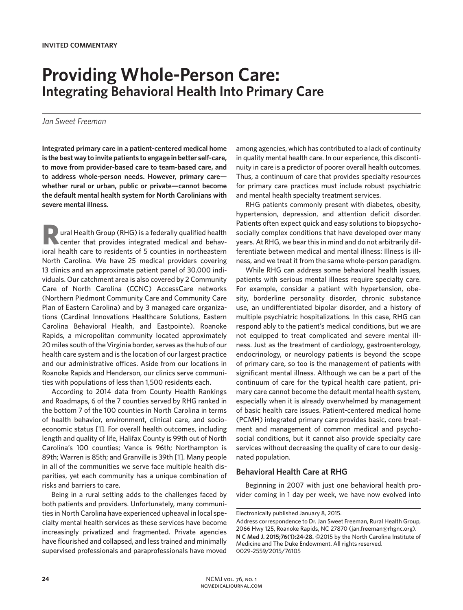# **Providing Whole-Person Care: Integrating Behavioral Health Into Primary Care**

## *Jan Sweet Freeman*

**Integrated primary care in a patient-centered medical home is the best way to invite patients to engage in better self-care, to move from provider-based care to team-based care, and to address whole-person needs. However, primary care whether rural or urban, public or private—cannot become the default mental health system for North Carolinians with severe mental illness.**

**Rural Health Group (RHG) is a federally qualified health** center that provides integrated medical and behavioral health care to residents of 5 counties in northeastern North Carolina. We have 25 medical providers covering 13 clinics and an approximate patient panel of 30,000 individuals. Our catchment area is also covered by 2 Community Care of North Carolina (CCNC) AccessCare networks (Northern Piedmont Community Care and Community Care Plan of Eastern Carolina) and by 3 managed care organizations (Cardinal Innovations Healthcare Solutions, Eastern Carolina Behavioral Health, and Eastpointe). Roanoke Rapids, a micropolitan community located approximately 20 miles south of the Virginia border, serves as the hub of our health care system and is the location of our largest practice and our administrative offices. Aside from our locations in Roanoke Rapids and Henderson, our clinics serve communities with populations of less than 1,500 residents each.

According to 2014 data from County Health Rankings and Roadmaps, 6 of the 7 counties served by RHG ranked in the bottom 7 of the 100 counties in North Carolina in terms of health behavior, environment, clinical care, and socioeconomic status [1]. For overall health outcomes, including length and quality of life, Halifax County is 99th out of North Carolina's 100 counties; Vance is 96th; Northampton is 89th; Warren is 85th; and Granville is 39th [1]. Many people in all of the communities we serve face multiple health disparities, yet each community has a unique combination of risks and barriers to care.

Being in a rural setting adds to the challenges faced by both patients and providers. Unfortunately, many communities in North Carolina have experienced upheaval in local specialty mental health services as these services have become increasingly privatized and fragmented. Private agencies have flourished and collapsed, and less trained and minimally supervised professionals and paraprofessionals have moved

among agencies, which has contributed to a lack of continuity in quality mental health care. In our experience, this discontinuity in care is a predictor of poorer overall health outcomes. Thus, a continuum of care that provides specialty resources for primary care practices must include robust psychiatric and mental health specialty treatment services.

RHG patients commonly present with diabetes, obesity, hypertension, depression, and attention deficit disorder. Patients often expect quick and easy solutions to biopsychosocially complex conditions that have developed over many years. At RHG, we bear this in mind and do not arbitrarily differentiate between medical and mental illness: Illness is illness, and we treat it from the same whole-person paradigm.

While RHG can address some behavioral health issues, patients with serious mental illness require specialty care. For example, consider a patient with hypertension, obesity, borderline personality disorder, chronic substance use, an undifferentiated bipolar disorder, and a history of multiple psychiatric hospitalizations. In this case, RHG can respond ably to the patient's medical conditions, but we are not equipped to treat complicated and severe mental illness. Just as the treatment of cardiology, gastroenterology, endocrinology, or neurology patients is beyond the scope of primary care, so too is the management of patients with significant mental illness. Although we can be a part of the continuum of care for the typical health care patient, primary care cannot become the default mental health system, especially when it is already overwhelmed by management of basic health care issues. Patient-centered medical home (PCMH) integrated primary care provides basic, core treatment and management of common medical and psychosocial conditions, but it cannot also provide specialty care services without decreasing the quality of care to our designated population.

#### **Behavioral Health Care at RHG**

Beginning in 2007 with just one behavioral health provider coming in 1 day per week, we have now evolved into

Electronically published January 8, 2015.

Address correspondence to Dr. Jan Sweet Freeman, Rural Health Group, 2066 Hwy 125, Roanoke Rapids, NC 27870 (jan.freeman@rhgnc.org). **N C Med J. 2015;76(1):24-28.** ©2015 by the North Carolina Institute of Medicine and The Duke Endowment. All rights reserved. 0029-2559/2015/76105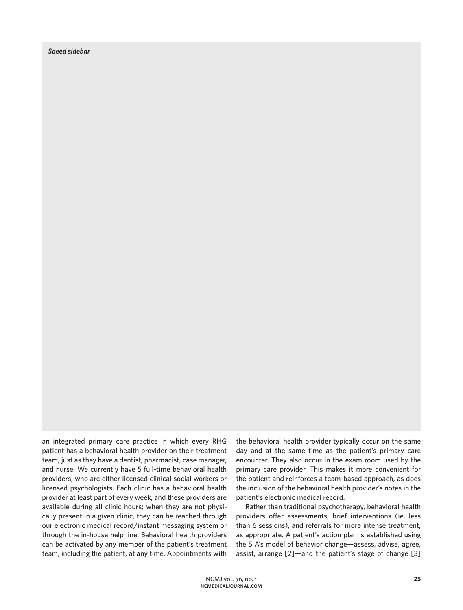*Saeed sidebar*

an integrated primary care practice in which every RHG patient has a behavioral health provider on their treatment team, just as they have a dentist, pharmacist, case manager, and nurse. We currently have 5 full-time behavioral health providers, who are either licensed clinical social workers or licensed psychologists. Each clinic has a behavioral health provider at least part of every week, and these providers are available during all clinic hours; when they are not physically present in a given clinic, they can be reached through our electronic medical record/instant messaging system or through the in-house help line. Behavioral health providers can be activated by any member of the patient's treatment team, including the patient, at any time. Appointments with

the behavioral health provider typically occur on the same day and at the same time as the patient's primary care encounter. They also occur in the exam room used by the primary care provider. This makes it more convenient for the patient and reinforces a team-based approach, as does the inclusion of the behavioral health provider's notes in the patient's electronic medical record.

Rather than traditional psychotherapy, behavioral health providers offer assessments, brief interventions (ie, less than 6 sessions), and referrals for more intense treatment, as appropriate. A patient's action plan is established using the 5 A's model of behavior change—assess, advise, agree, assist, arrange [2]—and the patient's stage of change [3]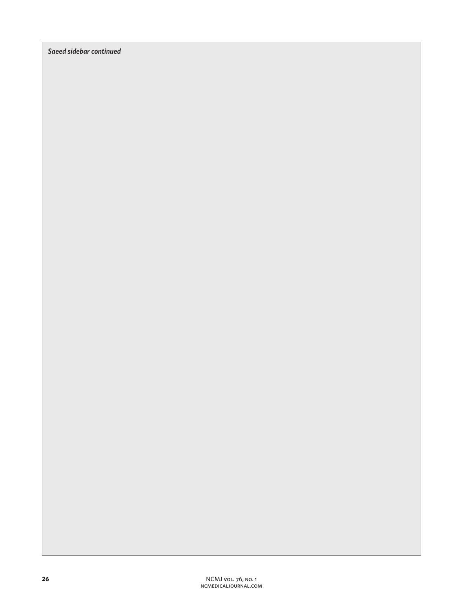*Saeed sidebar continued*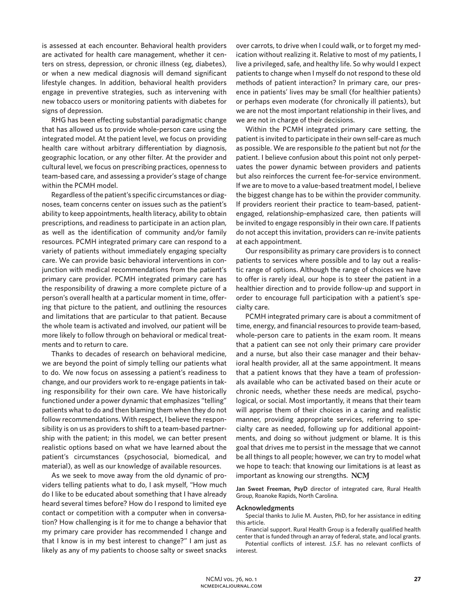is assessed at each encounter. Behavioral health providers are activated for health care management, whether it centers on stress, depression, or chronic illness (eg, diabetes), or when a new medical diagnosis will demand significant lifestyle changes. In addition, behavioral health providers engage in preventive strategies, such as intervening with new tobacco users or monitoring patients with diabetes for signs of depression.

RHG has been effecting substantial paradigmatic change that has allowed us to provide whole-person care using the integrated model. At the patient level, we focus on providing health care without arbitrary differentiation by diagnosis, geographic location, or any other filter. At the provider and cultural level, we focus on prescribing practices, openness to team-based care, and assessing a provider's stage of change within the PCMH model.

Regardless of the patient's specific circumstances or diagnoses, team concerns center on issues such as the patient's ability to keep appointments, health literacy, ability to obtain prescriptions, and readiness to participate in an action plan, as well as the identification of community and/or family resources. PCMH integrated primary care can respond to a variety of patients without immediately engaging specialty care. We can provide basic behavioral interventions in conjunction with medical recommendations from the patient's primary care provider. PCMH integrated primary care has the responsibility of drawing a more complete picture of a person's overall health at a particular moment in time, offering that picture to the patient, and outlining the resources and limitations that are particular to that patient. Because the whole team is activated and involved, our patient will be more likely to follow through on behavioral or medical treatments and to return to care.

Thanks to decades of research on behavioral medicine, we are beyond the point of simply telling our patients what to do. We now focus on assessing a patient's readiness to change, and our providers work to re-engage patients in taking responsibility for their own care. We have historically functioned under a power dynamic that emphasizes "telling" patients what to do and then blaming them when they do not follow recommendations. With respect, I believe the responsibility is on us as providers to shift to a team-based partnership with the patient; in this model, we can better present realistic options based on what we have learned about the patient's circumstances (psychosocial, biomedical, and material), as well as our knowledge of available resources.

As we seek to move away from the old dynamic of providers telling patients what to do, I ask myself, "How much do I like to be educated about something that I have already heard several times before? How do I respond to limited eye contact or competition with a computer when in conversation? How challenging is it for me to change a behavior that my primary care provider has recommended I change and that I know is in my best interest to change?" I am just as likely as any of my patients to choose salty or sweet snacks over carrots, to drive when I could walk, or to forget my medication without realizing it. Relative to most of my patients, I live a privileged, safe, and healthy life. So why would I expect patients to change when I myself do not respond to these old methods of patient interaction? In primary care, our presence in patients' lives may be small (for healthier patients) or perhaps even moderate (for chronically ill patients), but we are not the most important relationship in their lives, and we are not in charge of their decisions.

Within the PCMH integrated primary care setting, the patient is invited to participate in their own self-care as much as possible. We are responsible *to* the patient but not *for* the patient. I believe confusion about this point not only perpetuates the power dynamic between providers and patients but also reinforces the current fee-for-service environment. If we are to move to a value-based treatment model, I believe the biggest change has to be within the provider community. If providers reorient their practice to team-based, patientengaged, relationship-emphasized care, then patients will be invited to engage responsibly in their own care. If patients do not accept this invitation, providers can re-invite patients at each appointment.

Our responsibility as primary care providers is to connect patients to services where possible and to lay out a realistic range of options. Although the range of choices we have to offer is rarely ideal, our hope is to steer the patient in a healthier direction and to provide follow-up and support in order to encourage full participation with a patient's specialty care.

PCMH integrated primary care is about a commitment of time, energy, and financial resources to provide team-based, whole-person care to patients in the exam room. It means that a patient can see not only their primary care provider and a nurse, but also their case manager and their behavioral health provider, all at the same appointment. It means that a patient knows that they have a team of professionals available who can be activated based on their acute or chronic needs, whether these needs are medical, psychological, or social. Most importantly, it means that their team will apprise them of their choices in a caring and realistic manner, providing appropriate services, referring to specialty care as needed, following up for additional appointments, and doing so without judgment or blame. It is this goal that drives me to persist in the message that we cannot be all things to all people; however, we can try to model what we hope to teach: that knowing our limitations is at least as important as knowing our strengths. NCM

**Jan Sweet Freeman, PsyD** director of integrated care, Rural Health Group, Roanoke Rapids, North Carolina.

#### **Acknowledgments**

Special thanks to Julie M. Austen, PhD, for her assistance in editing this article.

Financial support. Rural Health Group is a federally qualified health center that is funded through an array of federal, state, and local grants.

Potential conflicts of interest. J.S.F. has no relevant conflicts of interest.